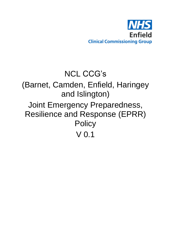

# NCL CCG's (Barnet, Camden, Enfield, Haringey and Islington) Joint Emergency Preparedness, Resilience and Response (EPRR) **Policy** V 0.1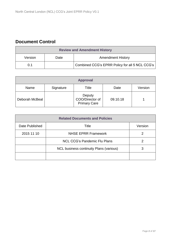# **Document Control**

| <b>Review and Amendment History</b> |      |                                                |  |
|-------------------------------------|------|------------------------------------------------|--|
| Version                             | Date | <b>Amendment History</b>                       |  |
| 0.1                                 |      | Combined CCG's EPRR Policy for all 5 NCL CCG's |  |

| <b>Approval</b> |           |                                                  |          |         |
|-----------------|-----------|--------------------------------------------------|----------|---------|
| Name            | Signature | Title                                            | Date     | Version |
| Deborah McBeal  |           | Deputy<br>COO/Director of<br><b>Primary Care</b> | 09.10.18 |         |

| <b>Related Documents and Policies</b> |                                                |         |  |
|---------------------------------------|------------------------------------------------|---------|--|
| Date Published                        | Title                                          | Version |  |
| 2015 11 10                            | <b>NHSE EPRR Framework</b>                     |         |  |
|                                       | <b>NCL CCG's Pandemic Flu Plans</b>            |         |  |
|                                       | <b>NCL business continuity Plans (various)</b> | 3       |  |
|                                       |                                                |         |  |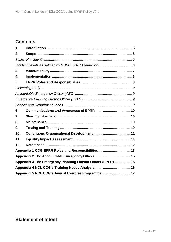# **Contents**

| 1.                                                           |  |  |  |
|--------------------------------------------------------------|--|--|--|
| 2.                                                           |  |  |  |
|                                                              |  |  |  |
|                                                              |  |  |  |
| 3.                                                           |  |  |  |
| 4.                                                           |  |  |  |
| 5.                                                           |  |  |  |
|                                                              |  |  |  |
|                                                              |  |  |  |
|                                                              |  |  |  |
|                                                              |  |  |  |
| 6.                                                           |  |  |  |
| 7.                                                           |  |  |  |
| 8.                                                           |  |  |  |
| 9.                                                           |  |  |  |
| 10.                                                          |  |  |  |
| 11.                                                          |  |  |  |
| 12.                                                          |  |  |  |
| Appendix 1 CCG EPRR Roles and Responsibilities 13            |  |  |  |
|                                                              |  |  |  |
| Appendix 3 The Emergency Planning Liaison Officer (EPLO)  15 |  |  |  |
|                                                              |  |  |  |
| Appendix 5 NCL CCG's Annual Exercise Programme  17           |  |  |  |

## **Statement of Intent**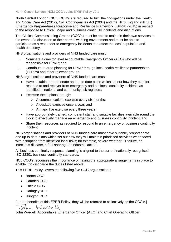North Central London (NCL) CCG's are required to fulfil their obligations under the Health and Social Care Act (2012), Civil Contingencies Act (2004) and the NHS England (NHSE) Emergency Preparedness Response and Resilience Framework (EPRR) (2015) in respect to the response to Critical, Major and business continuity incidents and disruptions.

The Clinical Commissioning Groups (CCG's) must be able to maintain their own services in the event of a disruption to their normal working environment and must be able to participate as a responder to emergency incidents that affect the local population and health economy.

NHS organisations and providers of NHS funded care must:

- I. Nominate a director level Accountable Emergency Officer (AEO) who will be responsible for EPRR; and
- II. Contribute to area planning for EPRR through local health resilience partnerships (LHRPs) and other relevant groups.

NHS organisations and providers of NHS funded care must:

- Have suitable, proportionate and up to date plans which set out how they plan for, respond to and recover from emergency and business continuity incidents as identified in national and community risk registers;
- Exercise these plans through:
	- $\triangleright$  A communications exercise every six months;
	- $\triangleright$  A desktop exercise once a year; and
	- $\triangleright$  A major live exercise every three years;
- Have appropriately trained, competent staff and suitable facilities available round the clock to effectively manage an emergency and business continuity incident; and
- Share their resources as required to respond to an emergency or business continuity incident.

NHS organisations and providers of NHS funded care must have suitable, proportionate and up to date plans which set out how they will maintain prioritised activities when faced with disruption from identified local risks; for example, severe weather, IT failure, an infectious disease, a fuel shortage or industrial action.

All business continuity response planning is aligned to the current nationally recognised ISO 22301 business continuity standards.

NCL CCG's recognises the importance of having the appropriate arrangements in place to enable it to discharge the duties listed above.

This EPRR Policy covers the following five CCG organisations;

- Barnet CCG
- Camden CCG
- Enfield CCG
- HaringeyCCG
- Islington CCC

For the benefits of this EPRR Policy, they will be referred to collectively as the CCG's.|

Warry

John Wardell, Accountable Emergency Officer (AEO) and Chief Operating Officer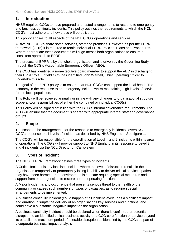## <span id="page-4-0"></span>**1. Introduction**

NHSE requires CCGs to have prepared and tested arrangements to respond to emergency and business continuity incidents. This policy outlines the requirements to which the NCL CCG's must adhere and how these will be delivered.

This policy applies to all aspects of the NCL CCG's operations and services.

All five NCL CCG's share some services, staff and premises. However, as per the EPRR framework (2015) it is required to retain individual EPRR Policies, Plans and Procedures. Where appropriate these documents will align across both organisations to ensure a consistent approach to EPRR.

The process of EPRR is by the whole organisation and is driven by the Governing Body through the CCG's Accountable Emergency Officer (AEO).

The CCG has identified a non-executive board member to support the AEO in discharging their EPRR role. Enfield CCG has identified John Wardell, Chief Operating Officer to undertake this role

The goal of the EPRR policy is to ensure that NCL CCG's can support the local health The economy in the response to an emergency incident whilst maintaining high levels of service for the local population.

This Policy will be reviewed annually or in line with any changes to organisational structure, scope and/or responsibilities of either the combined or individual CCG(s)

This Policy will be signed off in line with the CCG's internal governance requirements. The AEO will ensure that the document is shared with appropriate internal staff and governance groups.

## <span id="page-4-1"></span>**2. Scope**

The scope of the arrangements for the response to emergency incidents covers NCL CCG's response to all levels of incident as described by NHS England – See figure 1.

The CCG's will be responsible for the coordination of Level 1 and 2 incidents within its area of operations. The CCG's will provide support to NHS England in its response to Level 3 and 4 incidents via the NCL Director on Call system

## <span id="page-4-2"></span>**3. Types of Incident**

The NHSE EPRR Framework defines three types of incidents.

A Critical Incident is any localised incident where the level of disruption results in the organisation temporarily or permanently losing its ability to deliver critical services, patients may have been harmed or the environment is not safe requiring special measures and support from other agencies, to restore normal operating functions.

A Major Incident is any occurrence that presents serious threat to the health of the community or causes such numbers or types of casualties, as to require special arrangements to be implemented.

A business continuity Incident (could happen at all incident levels) has a significant impact and duration, disrupts the delivery of an organisations key services and functions, and could have a substantial negative impact on the organisation.

A business continuity Incident should be declared when there is confirmed or potential disruption to an identified critical business activity or a CCG core function or service beyond its established maximum period of tolerable disruption as identified by the CCGs as part of a corporate business impact analysis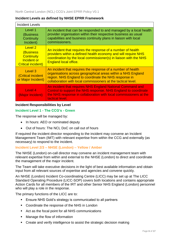#### <span id="page-5-0"></span>**Incident Levels as defined by NHSE EPRR Framework**

| <b>Incident Levels</b>                                                                       |                                                                                                                                                                                                                                                        |
|----------------------------------------------------------------------------------------------|--------------------------------------------------------------------------------------------------------------------------------------------------------------------------------------------------------------------------------------------------------|
| Level 1<br>(Business<br>Continuity<br>Incident)                                              | An incident that can be responded to and managed by a local health<br>provider organisation within their respective business as usual<br>capabilities and business continuity plans in liaison with local<br>commissioners.                            |
| Level 2<br><b>(Business</b><br><b>Continuity</b><br>Incident or<br><b>Critical incident)</b> | An incident that requires the response of a number of health<br>providers within a defined health economy and will require NHS<br>coordination by the local commissioner(s) in liaison with the NHS<br><b>England local office.</b>                    |
| Level 3<br>(Critical incident<br>or Major Incident)                                          | An incident that requires the response of a number of health<br>organisations across geographical areas within a NHS England<br>region. NHS England to coordinate the NHS response in<br>collaboration with local commissioners at the tactical level. |
| Level 4<br>(Major Incident)                                                                  | An incident that requires NHS England National Command and<br>Control to support the NHS response. NHS England to coordinate<br>the NHS response in collaboration with local commissioners at the<br>tactical level.                                   |

#### **Incident Responsibilities by Level**

#### **Incident Level 1 - The CCG's - Green**

The response will be managed by:

- In hours: AEO or nominated deputy
- Out of hours: The NCL DoC on call out of hours

If required the incident director responding to the incident may convene an Incident Management Team (IMT) with relevant expertise from within the CCG and externally (as necessary) to respond to the incident.

#### **Incident Level 2/3 – NHSE (London) – Yellow / Amber**

The NHSE (London) on-call director may convene an incident management team with relevant expertise from within and external to the NHSE (London) to direct and coordinate the management of the major incident.

The Team will take executive decisions in the light of best available information and obtain input from all relevant sources of expertise and agencies and convene quickly.

An NHSE (London) Incident Co-coordinating Centre (LICC) may be set up at The LICC Standard Operating Procedure (LICC-SOP) covers both locations and contains appropriate Action Cards for all members of the IRT and other Senior NHS England (London) personnel who will play a role in the response.

The primary functions of the LICC are to:

- Ensure NHS Gold's strategy is communicated to all partners
- Coordinate the response of the NHS in London
- Act as the focal point for all NHS communications
- Manage the flow of information
- Create and verify intelligence to assist the strategic decision making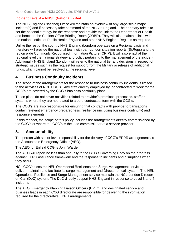#### **Incident Level 4 – NHSE (National) - Red**

The NHS England (National) Office will maintain an overview of any large-scale major incident(s) and if necessary take command of the NHS in England. Their primary role is to set the national strategy for the response and provide the link to the Department of Health and hence to the Cabinet Office Briefing Room (COBR). They will also maintain links with the national office of Public Health England and other NHS England Regions as required.

Unlike the rest of the country NHS England (London) operates on a Regional basis and therefore will provide the national team with pan-London situation reports (SitReps) and the region wide Commonly Recognised Information Picture (CRIP). It will also enact at the regional level the national strategy and policy pertaining to the management of the incident. Additionally NHS England (London) will refer to the national tier any decisions in respect of strategic issues such as the request for support from the Military or release of additional funds, which cannot be resolved at the regional level.

#### **4. Business Continuity Incidents**

The scope of the arrangements for the response to business continuity incidents is limited to the activities of NCL CCG's. Any staff directly employed by, or contracted to work for the CCG's are covered by the CCG's business continuity plans.

These plans do not cover activities related to provider's premises, processes, staff or systems where they are not related to a core contractual term with the CCG's.

The CCG's are also responsible for ensuring that contracts with provider organisations contain relevant emergency preparedness, resilience (including business continuity) and response elements.

In this respect, the scope of this policy includes the arrangements directly commissioned by the CCG's or where the CCG's is the lead commissioner of a service provider.

#### <span id="page-6-0"></span>**5. Accountability**

The person with senior level responsibility for the delivery of CCG's EPRR arrangements is the Accountable Emergency Officer (AEO).

The AEO for Enfield CCG is John Wardell

The AEO will report no less than annually to the CCG's Governing Body on the progress against EPRR assurance framework and the response to incidents and disruptions when they occur.

NCL CCG's uses the NEL Operational Resilience and Surge Management service to deliver, maintain and facilitate its surge management and Director on call system. The NEL Operational Resilience and Surge Management service maintain the NCL London Director on Call (DoC) system. The DoC directly support NHS England in response to Level 3 and 4 incidents

The AEO, Emergency Planning Liaison Officers (EPLO) and designated service and business leads in each CCG directorate are responsible for delivering the information required for the directorate's EPRR arrangements.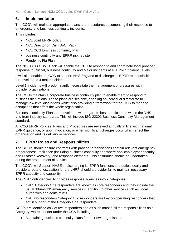## <span id="page-7-0"></span>**6. Implementation**

The CCG's will maintain appropriate plans and procedures documenting their response to emergency and business continuity incidents.

This includes:

- NCL Joint EPRR policy
- NCL Director on Call (DoC) Pack
- NCL CCG business continuity Plan
- business continuity and EPRR risk register
- Pandemic Flu Plan

The NCL CCG's DoC Pack will enable the CCG to respond to and coordinate local provider response to Critical, business continuity and Major Incidents at all EPRR Incident Levels.

It will also enable the CCG to support NHS England to discharge its EPRR responsibilities for Level 3 and 4 major incidents.

Level 1 incidents will predominantly necessitate the management of pressures within provider organisations.

The CCGs maintain a corporate business continuity plan to enable them to respond to business disruptions. These plans are scalable, enabling an individual directorate to manage low-level disruptions whilst also providing a framework for the CCG to manage disruptions that affect the whole organisation.

Business continuity Plans are developed with regard to best practice both within the NHS and from industry standards. This will include ISO 22301 Business Continuity Management standard.

All CCG EPRR Policies, Plans and Procedures are reviewed annually in line with national EPRR guidance, or upon invocation, or when significant changes occur which effect the organisation and its delivery or services.

## <span id="page-7-1"></span>**7. EPRR Roles and Responsibilities**

The CCG's should ensure contracts with provider organisations contain relevant emergency preparedness, resilience (including business continuity and where applicable cyber security and Disaster Recovery) and response elements. This assurance should be undertaken during the procurement of services.

The CCG's will Support NHSE in discharging its EPRR functions and duties locally and provide a route of escalation for the LHRP should a provider fail to maintain necessary EPRR capacity and capability.

The Civil Contingencies Act divides response agencies into 2 categories;

- Cat 1 Category One responders are known as core responders and they include the usual "blue-light" emergency services in addition to other services such as local authorities and acute trusts
- Cat Two responders Category Two responders are key co-operating responders that act in support of the Category One responders

CCG's are identified as Cat two responders and as such must fulfil the responsibilities as a Category two responder under the CCA including;

Maintaining business continuity plans for their own organisation;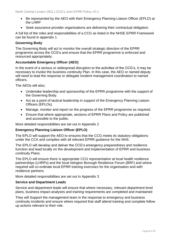- Be represented by the AEO with their Emergency Planning Liaison Officer (EPLO) at the LHRP
- Seek assurance provider organisations are delivering their contractual obligation.

A full list of the roles and responsibilities of a CCG as listed in the NHSE EPRR Framework can be found in appendix 1.

#### <span id="page-8-0"></span>**Governing Body**

The Governing Body will act to monitor the overall strategic direction of the EPRR programme across the CCG's and ensure that the EPRR programme is enforced and resourced appropriately.

#### <span id="page-8-1"></span>**Accountable Emergency Officer (AEO)**

In the event of a serious or widespread disruption to the activities of the CCG's, it may be necessary to invoke the business continuity Plan. In this case, the AEO or named deputy will need to lead the response or delegate incident management coordination to named officers.

The AEOs will also;

- Undertake leadership and sponsorship of the EPRR programme with the support of the Governing Body.
- Act as a point of tactical leadership in support of the Emergency Planning Liaison Officers (EPLOs).
- Manage, monitor and report on the progress of the EPRR programme as required.
- Ensure that where appropriate, sections of EPRR Plans and Policy are published and accessible to the public.

More detailed responsibilities are set out in Appendix 2

#### <span id="page-8-2"></span>**Emergency Planning Liaison Officer (EPLO)**

The EPLO will support the AEO to ensures that the CCG meets its statutory obligations under the CCA and complies with all relevant EPRR guidance for the NHS.

The EPLO will develop and deliver the CCG's emergency preparedness and resilience function and lead locally on the development and implementation of EPRR and business continuity Plans.

The EPLO will ensure there is appropriate CCG representation at local health resilience partnerships (LHRPs) and the local Islington Borough Resilience Forum (BRF) and where required will co-ordinate local EPRR training exercises for the organisation and with resilience partners.

More detailed responsibilities are set out in Appendix 3

#### <span id="page-8-3"></span>**Service and Department Leads**

Service and department leads will ensure that where necessary, relevant department level plans, business impact analyses and training requirements are completed and maintained

They will Support the management team in the response to emergency and business continuity incidents and ensure where required that staff attend training and complete follow up actions relevant to their role.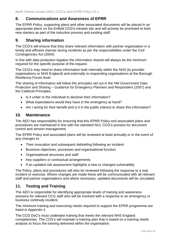## <span id="page-9-0"></span>**8. Communications and Awareness of EPRR**

The EPRR Policy, supporting plans and other associated documents will be placed in an appropriate place on the Enfield CCG's intranet site and will actively be promoted to both new starters as part of the induction process and existing staff.

## <span id="page-9-1"></span>**9. Sharing information**

The CCG's will ensure that they share relevant information with partner organisation in a timely and efficient manner during incidents as per the responsibilities under the Civil Contingencies Act (2004).

In line with data protection legation the information shared will always be the minimum required for the specific purpose of the request.

The CCG's may need to share information both internally within the NHS (to provider organisations or NHS England) and externally to responding organisations at the Borough Resilience Forum level.

The sharing of information will follow the principles set out in the HM Government Data Protection and Sharing – Guidance for Emergency Planners and Responders (2007) and the Caldicott Principles.

- Is it unfair to the individual to disclose their information?
- What expectations would they have in the emergency at hand?
- Am I acting for their benefit and is it in the public interest to share this information?

#### <span id="page-9-2"></span>**10. Maintenance**

The AEO has responsibility for ensuring that this EPRR Policy and associated plans and procedures are maintained in line with the standard NCL CCG's process for document control and version management.

The EPRR Policy and associated plans will be reviewed at least annually or in the event of any changes to:

- Their invocation and subsequent debriefing following an incident
- Business objectives, processes and organisational function
- Organisational structures and staff
- Key suppliers or contractual arrangements
- If an updated risk assessment highlights a new or changed vulnerability

The Policy, plans and procedures will also be reviewed following the response to a real incident or exercise. Where changes are made these will be communicated with all relevant staff and partner organisations and where necessary, updated documents will be circulated.

## <span id="page-9-3"></span>**11. Testing and Training**

The AEO is responsible for identifying appropriate levels of training and awareness sessions for relevant CCG staff who will be involved with a response to an emergency or business continuity incident.

The minimum training and exercising needs required to support the EPRR programme are listed in Appendix 4

The CCG DoC's must undertake training that meets the relevant NHS England competencies. The CCG's will maintain a training plan that is based on a training needs analysis to focus the training delivered within the organisation.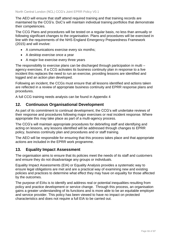The AEO will ensure that staff attend required training and that training records are maintained by the CCG's. DoC's will maintain individual training portfolios that demonstrate their competencies.

The CCG Plans and procedures will be tested on a regular basis, no less than annually or following significant changes to the organisation. Plans and procedures will be exercised in line with the requirements of the NHS England Emergency Preparedness Framework (2015) and will involve:

- A communications exercise every six months:
- A desktop exercise once a year
- A major live exercise every three years

The responsibility to exercise plans can be discharged through participation in multi – agency exercises. If a CCG activates its business continuity plan in response to a live incident this replaces the need to run an exercise, providing lessons are identified and logged and an action plan developed.

Following an incident, the CCGs must ensure that all lessons identified and actions taken are reflected in a review of appropriate business continuity and EPRR response plans and procedures.

A full CCG training needs analysis can be found in Appendix 4

## <span id="page-10-0"></span>**12. Continuous Organisational Development**

As part of its commitment to continual development, the CCG's will undertake reviews of their response and procedures following major exercises or real incident response. Where appropriate this may take place as part of a multi-agency process.

The CCG's will maintain appropriate procedures for debriefing staff and identifying and acting on lessons, any lessons identified will be addressed through changes to EPRR policy, business continuity plan and procedures and or staff training.

The AEO will be responsible for ensuring that this process takes place and that appropriate actions are included in the EPRR work programme.

## <span id="page-10-1"></span>**13. Equality Impact Assessment**

The organisation aims to ensure that its policies meet the needs of its staff and customers and ensure they do not disadvantage any groups or individuals.

Equality Impact Assessments (EIA) or Equality Analysis provides a systematic way to ensure legal obligations are met and are a practical way of examining new and existing policies and practices to determine what effect they may have on equality for those affected by the outcomes.

The purpose of EIAs is to identify and address real or potential inequalities resulting from policy and practice development or service change. Through this process, an organisation gains a greater understanding of its functions and is more able to be an equitable employer and service provider. This policy has been viewed to have no impact on protected characteristics and does not require a full EIA to be carried out.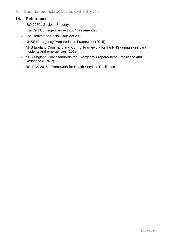## <span id="page-11-0"></span>**14. References**

- ISO 22301 Societal Security
- The Civil Contingencies Act 2004 (as amended)
- The Health and Social Care Act 2012
- NHSE Emergency Preparedness Framework (2015)
- NHS England Command and Control Framework for the NHS during significant incidents and emergencies (2013)
- NHS England Core Standards for Emergency Preparedness, Resilience and Response (EPRR)
- BSI PAS 2015 Framework for Health Services Resilience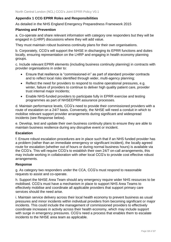#### <span id="page-12-0"></span>**Appendix 1 CCG EPRR Roles and Responsibilities**

As detailed in the NHS England Emergency Preparedness Framework 2015

#### **Planning and Prevention**

a. Co-operate and share relevant information with category one responders but they will be engaged in (LHRP) discussions where they will add value.

They must maintain robust business continuity plans for their own organisations.

b. Corporately, CCG's will support the NHSE in discharging its EPRR functions and duties locally, ensuring representation on the LHRP and engaging in health economy planning groups.

c. Include relevant EPRR elements (including business continuity planning) in contracts with provider organisations in order to:

- Ensure that resilience is "commissioned-in" as part of standard provider contracts and to reflect local risks identified through wider, multi-agency planning;
- Reflect the need for providers to respond to routine operational pressures, e.g. winter, failure of providers to continue to deliver high quality patient care, provider trust internal major incidents;
- Enable NHS-funded providers to participate fully in EPRR exercise and testing programmes as part of NHSEEPRR assurance processes.

d. Maintain performance levels, CCG's need to provide their commissioned providers with a route of escalation on a 24/7 basis. Conversely, the NHSE will need a conduit in which to mobilise relevant support provider arrangements during significant and widespread incidents (see Response below).

e. Develop, test and update their own business continuity plans to ensure they are able to maintain business resilience during any disruptive event or incident.

#### **Escalation**

f. Ensure robust escalation procedures are in place such that if an NHS funded provider has a problem (rather than an immediate emergency or significant incident), the locally agreed route for escalation (whether out of hours or during normal business hours) is available via the CCG's. This will require CCG's to establish their own 24/7 on-call arrangements, this may include working in collaboration with other local CCG's to provide cost effective robust arrangements.

#### **Response**

g. As category two responders under the CCA, CCG's must respond to reasonable requests to assist and co-operate.

h. Support the NHSE Area Team should any emergency require wider NHS resources to be mobilised. CCG's must have a mechanism in place to support NHS Area Teams to effectively mobilise and coordinate all applicable providers that support primary care services should the need arise.

i. Maintain service delivery across their local health economy to prevent business as usual pressures and minor incidents within individual providers from becoming significant or major incidents. This could include the management of commissioned providers to effectively coordinate increases in activity across their health economy, which may include support with surge in emergency pressures. CCG's need a process that enables them to escalate incidents to the NHSE area team as applicable.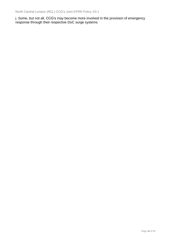j. Some, but not all, CCG's may become more involved in the provision of emergency response through their respective DoC surge systems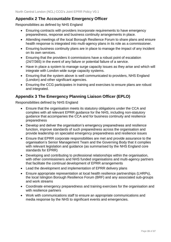## <span id="page-14-0"></span>**Appendix 2 The Accountable Emergency Officer**

Responsibilities as defined by NHS England

- Ensuring contracts with providers incorporate requirements to have emergency preparedness, response and business continuity arrangements in place.
- Attending meetings of the local Borough Resilience Forum to share plans and ensure health response is integrated into multi-agency plans in its role as a commissioner.
- Ensuring business continuity plans are in place to manage the impact of any incident on its own services.
- Ensuring that the providers it commissions have a robust point of escalation (24/7/365) in the event of any failure or potential failure of a service.
- Have in place a system to manage surge capacity issues as they arise and which will integrate with London wide surge capacity systems.
- Ensuring that the system above is well communicated to providers, NHS England (London) and other significant agencies.
- Ensuring the CCG participates in training and exercises to ensure plans are robust and integrated.

## <span id="page-14-1"></span>**Appendix 3 The Emergency Planning Liaison Officer (EPLO)**

Responsibilities defined by NHS England

- Ensure that the organisation meets its statutory obligations under the CCA and complies with all relevant EPRR guidance for the NHS, including non-statutory guidance that accompanies the CCA and for business continuity and resilience preparedness
- Develop and deliver the organisation's emergency preparedness and resilience function, improve standards of such preparedness across the organisation and provide leadership on specialist emergency preparedness and resilience issues
- Ensure that EPRR corporate responsibilities are met and provide assurance to the organisation's Senior Management Team and the Governing Body that it complies with relevant legislation and guidance (as summarised by the NHS England core standards for EPRR)
- Developing and contributing to professional relationships within the organisation, with other commissioners and NHS funded organisations and multi-agency partners that facilitate the continual development of EPRR arrangements
- Lead the development and implementation of EPRR delivery plans
- Ensure appropriate representation at local health resilience partnerships (LHRPs), the local Islington Borough Resilience Forum (BRF) and any associated sub-groups and work streams
- Coordinate emergency preparedness and training exercises for the organisation and with resilience partners
- Work with communications staff to ensure an appropriate communications and media response by the NHS to significant events and emergencies.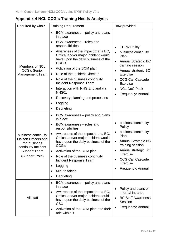# <span id="page-15-0"></span>**Appendix 4 NCL CCG's Training Needs Analysis**

| Required by who?                                                                                                                   | <b>Training Requirement</b>                                                                                                                                                                                                                                                                                                                                                                                                                                                                                                                                                                | How provided                                                                                                                                                                                                                                                                                                   |  |
|------------------------------------------------------------------------------------------------------------------------------------|--------------------------------------------------------------------------------------------------------------------------------------------------------------------------------------------------------------------------------------------------------------------------------------------------------------------------------------------------------------------------------------------------------------------------------------------------------------------------------------------------------------------------------------------------------------------------------------------|----------------------------------------------------------------------------------------------------------------------------------------------------------------------------------------------------------------------------------------------------------------------------------------------------------------|--|
| <b>Members of NCL</b><br><b>CCG's Senior</b><br><b>Management Team</b>                                                             | BCM awareness – policy and plans<br>$\bullet$<br>in place<br>BCM awareness – roles and<br>$\bullet$<br>responsibilities<br>Awareness of the impact that a BC,<br>$\bullet$<br>Critical and/or major incident would<br>have upon the daily business of the<br>CCG's<br>Activation of the BCM plan<br>٠<br>Role of the Incident Director<br>$\bullet$<br>Role of the business continuity<br>$\bullet$<br>Incident Response Team<br>Interaction with NHS England via<br>$\bullet$<br>NHS01<br>Recovery planning and processes<br>$\bullet$<br>Logging<br>$\bullet$<br>Debriefing<br>$\bullet$ | <b>EPRR Policy</b><br>$\bullet$<br>business continuity<br>Plan<br><b>Annual Strategic BC</b><br>$\bullet$<br>training session<br>Annual strategic BC<br>$\bullet$<br>Exercise<br><b>CCG Call Cascade</b><br>$\bullet$<br><b>Exercise</b><br><b>NCL DoC Pack</b><br>$\bullet$<br>Frequency: Annual<br>$\bullet$ |  |
| business continuity<br><b>Liaison Officers and</b><br>the business<br>continuity Incident<br><b>Support Team</b><br>(Support Role) | BCM awareness – policy and plans<br>$\bullet$<br>in place<br>BCM awareness - roles and<br>$\bullet$<br>responsibilities<br>Awareness of the impact that a BC,<br>$\bullet$<br>Critical and/or major incident would<br>have upon the daily business of the<br>CCG's<br>Activation of the BCM plan<br>Role of the business continuity<br>$\bullet$<br>Incident Response Team<br>Logging<br>$\bullet$<br>Minute taking<br>Debriefing<br>$\bullet$                                                                                                                                             | business continuity<br>$\bullet$<br>Policy<br>business continuity<br>$\bullet$<br>Plan<br><b>Annual Strategic BC</b><br>$\bullet$<br>training session<br>Annual strategic BC<br><b>Exercise</b><br><b>CCG Call Cascade</b><br><b>Exercise</b><br>Frequency: Annual                                             |  |
| All staff                                                                                                                          | BCM awareness – policy and plans<br>in place<br>Awareness of the impact that a BC,<br>$\bullet$<br>Critical and/or major incident could<br>have upon the daily business of the<br>CSU<br>Activation of the BCM plan and their<br>role within it                                                                                                                                                                                                                                                                                                                                            | Policy and plans on<br>$\bullet$<br>internal intranet<br><b>BC Staff Awareness</b><br>$\bullet$<br>Session<br>Frequency: Annual                                                                                                                                                                                |  |